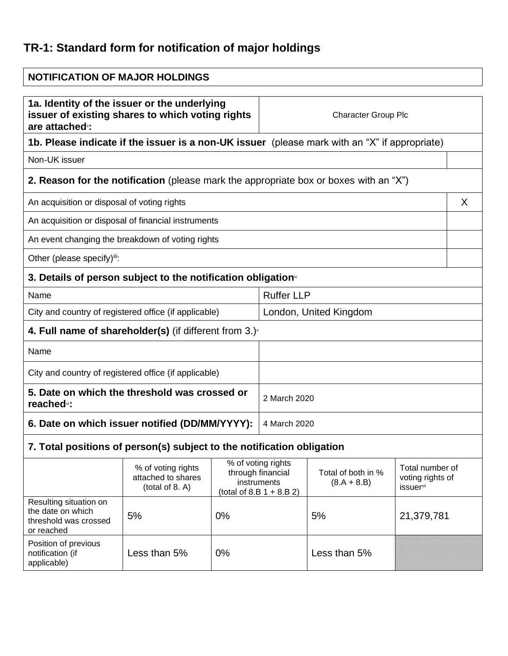## **TR-1: Standard form for notification of major holdings**

| <b>NOTIFICATION OF MAJOR HOLDINGS</b>                                                                                                                         |                                                             |              |                                                                                                                                                  |              |                                     |   |
|---------------------------------------------------------------------------------------------------------------------------------------------------------------|-------------------------------------------------------------|--------------|--------------------------------------------------------------------------------------------------------------------------------------------------|--------------|-------------------------------------|---|
| 1a. Identity of the issuer or the underlying<br>issuer of existing shares to which voting rights<br><b>Character Group Plc</b><br>are attached <sup>®</sup> : |                                                             |              |                                                                                                                                                  |              |                                     |   |
| 1b. Please indicate if the issuer is a non-UK issuer (please mark with an "X" if appropriate)                                                                 |                                                             |              |                                                                                                                                                  |              |                                     |   |
| Non-UK issuer                                                                                                                                                 |                                                             |              |                                                                                                                                                  |              |                                     |   |
| <b>2. Reason for the notification</b> (please mark the appropriate box or boxes with an "X")                                                                  |                                                             |              |                                                                                                                                                  |              |                                     |   |
| An acquisition or disposal of voting rights                                                                                                                   |                                                             |              |                                                                                                                                                  |              |                                     | X |
| An acquisition or disposal of financial instruments                                                                                                           |                                                             |              |                                                                                                                                                  |              |                                     |   |
| An event changing the breakdown of voting rights                                                                                                              |                                                             |              |                                                                                                                                                  |              |                                     |   |
| Other (please specify)iii:                                                                                                                                    |                                                             |              |                                                                                                                                                  |              |                                     |   |
| 3. Details of person subject to the notification obligation <sup>®</sup>                                                                                      |                                                             |              |                                                                                                                                                  |              |                                     |   |
| <b>Ruffer LLP</b><br>Name                                                                                                                                     |                                                             |              |                                                                                                                                                  |              |                                     |   |
| City and country of registered office (if applicable)                                                                                                         |                                                             |              | London, United Kingdom                                                                                                                           |              |                                     |   |
| 4. Full name of shareholder(s) (if different from $3.$ ) $\sqrt{ }$                                                                                           |                                                             |              |                                                                                                                                                  |              |                                     |   |
| Name                                                                                                                                                          |                                                             |              |                                                                                                                                                  |              |                                     |   |
| City and country of registered office (if applicable)                                                                                                         |                                                             |              |                                                                                                                                                  |              |                                     |   |
| 5. Date on which the threshold was crossed or<br>reached <sup>vi</sup> :                                                                                      |                                                             |              | 2 March 2020                                                                                                                                     |              |                                     |   |
| 6. Date on which issuer notified (DD/MM/YYYY):                                                                                                                |                                                             | 4 March 2020 |                                                                                                                                                  |              |                                     |   |
| 7. Total positions of person(s) subject to the notification obligation                                                                                        |                                                             |              |                                                                                                                                                  |              |                                     |   |
|                                                                                                                                                               | % of voting rights<br>attached to shares<br>(total of 8. A) |              | % of voting rights<br>through financial<br>Total of both in %<br>instruments<br>$(8.A + 8.B)$<br><b>issuer</b> vii<br>$(total of 8.B 1 + 8.B 2)$ |              | Total number of<br>voting rights of |   |
| Resulting situation on<br>the date on which<br>threshold was crossed<br>or reached                                                                            | 5%                                                          | 0%           | 5%                                                                                                                                               |              | 21,379,781                          |   |
| Position of previous<br>notification (if<br>applicable)                                                                                                       | Less than 5%                                                | 0%           |                                                                                                                                                  | Less than 5% |                                     |   |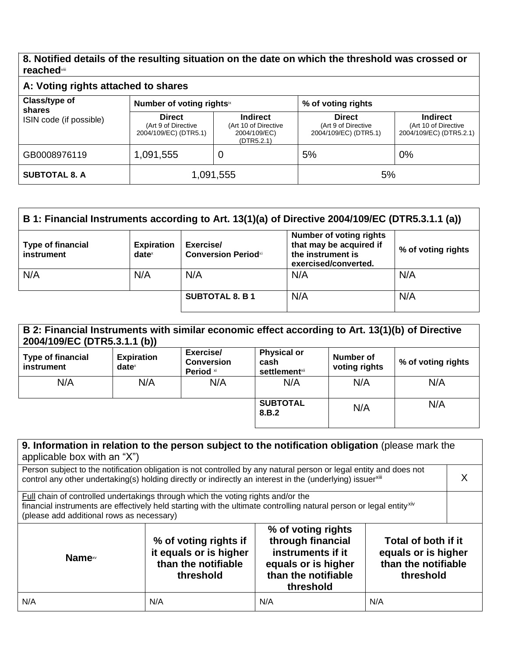## **8. Notified details of the resulting situation on the date on which the threshold was crossed or reached**viii

| A: Voting rights attached to shares |                                                               |                                                                       |                                                               |                                                                    |
|-------------------------------------|---------------------------------------------------------------|-----------------------------------------------------------------------|---------------------------------------------------------------|--------------------------------------------------------------------|
| Class/type of<br>shares             | Number of voting rightsix                                     |                                                                       | % of voting rights                                            |                                                                    |
| ISIN code (if possible)             | <b>Direct</b><br>(Art 9 of Directive<br>2004/109/EC) (DTR5.1) | <b>Indirect</b><br>(Art 10 of Directive<br>2004/109/EC)<br>(DTR5.2.1) | <b>Direct</b><br>(Art 9 of Directive<br>2004/109/EC) (DTR5.1) | <b>Indirect</b><br>(Art 10 of Directive<br>2004/109/EC) (DTR5.2.1) |
| GB0008976119                        | 1,091,555                                                     | 0                                                                     | 5%                                                            | 0%                                                                 |
| <b>SUBTOTAL 8. A</b>                | 1,091,555                                                     |                                                                       | 5%                                                            |                                                                    |

| B 1: Financial Instruments according to Art. 13(1)(a) of Directive 2004/109/EC (DTR5.3.1.1 (a)) |                               |                                         |                                                                                                        |                    |
|-------------------------------------------------------------------------------------------------|-------------------------------|-----------------------------------------|--------------------------------------------------------------------------------------------------------|--------------------|
| <b>Type of financial</b><br>instrument                                                          | <b>Expiration</b><br>$date^x$ | Exercise/<br><b>Conversion Periodxi</b> | <b>Number of voting rights</b><br>that may be acquired if<br>the instrument is<br>exercised/converted. | % of voting rights |
| N/A                                                                                             | N/A                           | N/A                                     | N/A                                                                                                    | N/A                |
|                                                                                                 |                               | <b>SUBTOTAL 8. B 1</b>                  | N/A                                                                                                    | N/A                |

| B 2: Financial Instruments with similar economic effect according to Art. 13(1)(b) of Directive<br>2004/109/EC (DTR5.3.1.1 (b)) |                                                        |                                             |                                                     |                            |                    |
|---------------------------------------------------------------------------------------------------------------------------------|--------------------------------------------------------|---------------------------------------------|-----------------------------------------------------|----------------------------|--------------------|
| Type of financial<br>instrument                                                                                                 | <b>Expiration</b><br>$date^{\scriptscriptstyle\times}$ | Exercise/<br><b>Conversion</b><br>Period xi | <b>Physical or</b><br>cash<br><b>settlement</b> xii | Number of<br>voting rights | % of voting rights |
| N/A                                                                                                                             | N/A                                                    | N/A                                         | N/A                                                 | N/A                        | N/A                |
|                                                                                                                                 |                                                        |                                             | <b>SUBTOTAL</b><br>8.B.2                            | N/A                        | N/A                |

| 9. Information in relation to the person subject to the notification obligation (please mark the<br>applicable box with an "X")                                                                                                                                  |                                                                                     |                                                                                                                         |                                                                                |  |
|------------------------------------------------------------------------------------------------------------------------------------------------------------------------------------------------------------------------------------------------------------------|-------------------------------------------------------------------------------------|-------------------------------------------------------------------------------------------------------------------------|--------------------------------------------------------------------------------|--|
| Person subject to the notification obligation is not controlled by any natural person or legal entity and does not<br>control any other undertaking(s) holding directly or indirectly an interest in the (underlying) issuerxiii                                 |                                                                                     |                                                                                                                         |                                                                                |  |
| Full chain of controlled undertakings through which the voting rights and/or the<br>financial instruments are effectively held starting with the ultimate controlling natural person or legal entity <sup>xiv</sup><br>(please add additional rows as necessary) |                                                                                     |                                                                                                                         |                                                                                |  |
| <b>Name</b> xv                                                                                                                                                                                                                                                   | % of voting rights if<br>it equals or is higher<br>than the notifiable<br>threshold | % of voting rights<br>through financial<br>instruments if it<br>equals or is higher<br>than the notifiable<br>threshold | Total of both if it<br>equals or is higher<br>than the notifiable<br>threshold |  |
| N/A                                                                                                                                                                                                                                                              | N/A                                                                                 | N/A                                                                                                                     | N/A                                                                            |  |